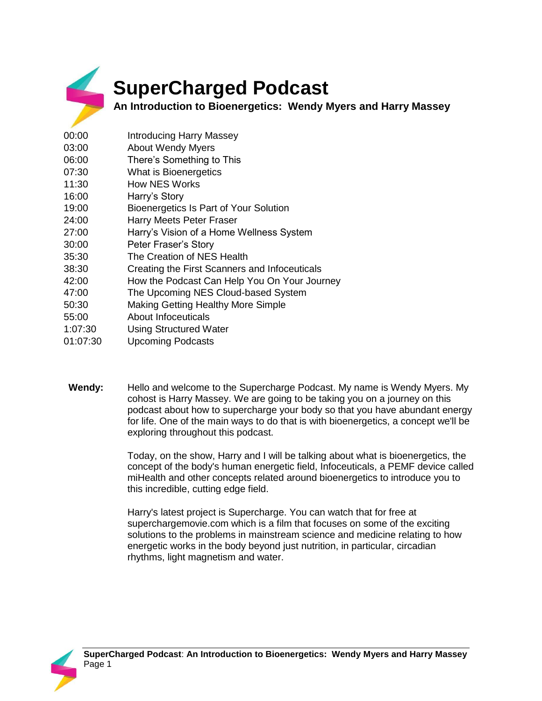

## **SuperCharged Podcast**

**An Introduction to Bioenergetics: Wendy Myers and Harry Massey** 

- 00:00 Introducing Harry Massey 03:00 About Wendy Myers 06:00 There's Something to This 07:30 What is Bioenergetics 11:30 How NES Works 16:00 Harry's Story 19:00 Bioenergetics Is Part of Your Solution 24:00 Harry Meets Peter Fraser 27:00 Harry's Vision of a Home Wellness System 30:00 Peter Fraser's Story 35:30 The Creation of NES Health 38:30 Creating the First Scanners and Infoceuticals 42:00 How the Podcast Can Help You On Your Journey 47:00 The Upcoming NES Cloud-based System 50:30 Making Getting Healthy More Simple 55:00 About Infoceuticals 1:07:30 Using Structured Water 01:07:30 Upcoming Podcasts
	- **Wendy:** Hello and welcome to the Supercharge Podcast. My name is Wendy Myers. My cohost is Harry Massey. We are going to be taking you on a journey on this podcast about how to supercharge your body so that you have abundant energy for life. One of the main ways to do that is with bioenergetics, a concept we'll be exploring throughout this podcast.

Today, on the show, Harry and I will be talking about what is bioenergetics, the concept of the body's human energetic field, Infoceuticals, a PEMF device called miHealth and other concepts related around bioenergetics to introduce you to this incredible, cutting edge field.

Harry's latest project is Supercharge. You can watch that for free at superchargemovie.com which is a film that focuses on some of the exciting solutions to the problems in mainstream science and medicine relating to how energetic works in the body beyond just nutrition, in particular, circadian rhythms, light magnetism and water.

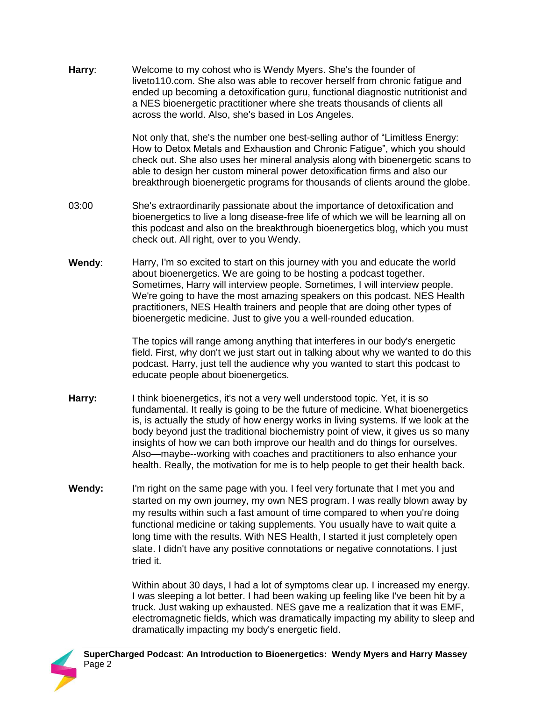**Harry**: Welcome to my cohost who is Wendy Myers. She's the founder of liveto110.com. She also was able to recover herself from chronic fatigue and ended up becoming a detoxification guru, functional diagnostic nutritionist and a NES bioenergetic practitioner where she treats thousands of clients all across the world. Also, she's based in Los Angeles.

> Not only that, she's the number one best-selling author of "Limitless Energy: How to Detox Metals and Exhaustion and Chronic Fatigue", which you should check out. She also uses her mineral analysis along with bioenergetic scans to able to design her custom mineral power detoxification firms and also our breakthrough bioenergetic programs for thousands of clients around the globe.

- 03:00 She's extraordinarily passionate about the importance of detoxification and bioenergetics to live a long disease-free life of which we will be learning all on this podcast and also on the breakthrough bioenergetics blog, which you must check out. All right, over to you Wendy.
- **Wendy**: Harry, I'm so excited to start on this journey with you and educate the world about bioenergetics. We are going to be hosting a podcast together. Sometimes, Harry will interview people. Sometimes, I will interview people. We're going to have the most amazing speakers on this podcast. NES Health practitioners, NES Health trainers and people that are doing other types of bioenergetic medicine. Just to give you a well-rounded education.

The topics will range among anything that interferes in our body's energetic field. First, why don't we just start out in talking about why we wanted to do this podcast. Harry, just tell the audience why you wanted to start this podcast to educate people about bioenergetics.

- **Harry:** I think bioenergetics, it's not a very well understood topic. Yet, it is so fundamental. It really is going to be the future of medicine. What bioenergetics is, is actually the study of how energy works in living systems. If we look at the body beyond just the traditional biochemistry point of view, it gives us so many insights of how we can both improve our health and do things for ourselves. Also—maybe--working with coaches and practitioners to also enhance your health. Really, the motivation for me is to help people to get their health back.
- **Wendy:** I'm right on the same page with you. I feel very fortunate that I met you and started on my own journey, my own NES program. I was really blown away by my results within such a fast amount of time compared to when you're doing functional medicine or taking supplements. You usually have to wait quite a long time with the results. With NES Health, I started it just completely open slate. I didn't have any positive connotations or negative connotations. I just tried it.

Within about 30 days, I had a lot of symptoms clear up. I increased my energy. I was sleeping a lot better. I had been waking up feeling like I've been hit by a truck. Just waking up exhausted. NES gave me a realization that it was EMF, electromagnetic fields, which was dramatically impacting my ability to sleep and dramatically impacting my body's energetic field.

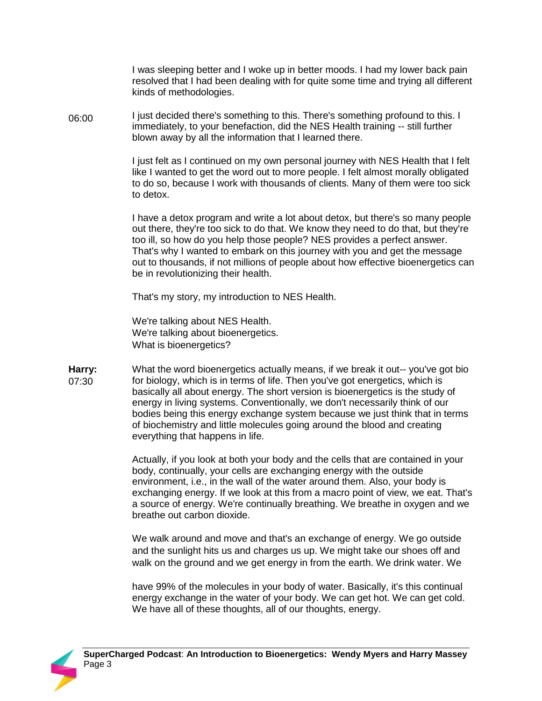I was sleeping better and I woke up in better moods. I had my lower back pain resolved that I had been dealing with for quite some time and trying all different kinds of methodologies.

06:00 I just decided there's something to this. There's something profound to this. I immediately, to your benefaction, did the NES Health training -- still further blown away by all the information that I learned there.

> I just felt as I continued on my own personal journey with NES Health that I felt like I wanted to get the word out to more people. I felt almost morally obligated to do so, because I work with thousands of clients. Many of them were too sick to detox.

> I have a detox program and write a lot about detox, but there's so many people out there, they're too sick to do that. We know they need to do that, but they're too ill, so how do you help those people? NES provides a perfect answer. That's why I wanted to embark on this journey with you and get the message out to thousands, if not millions of people about how effective bioenergetics can be in revolutionizing their health.

That's my story, my introduction to NES Health.

We're talking about NES Health. We're talking about bioenergetics. What is bioenergetics?

**Harry:**  07:30 What the word bioenergetics actually means, if we break it out--you've got bio for biology, which is in terms of life. Then you've got energetics, which is basically all about energy. The short version is bioenergetics is the study of energy in living systems. Conventionally, we don't necessarily think of our bodies being this energy exchange system because we just think that in terms of biochemistry and little molecules going around the blood and creating everything that happens in life.

> Actually, if you look at both your body and the cells that are contained in your body, continually, your cells are exchanging energy with the outside environment, i.e., in the wall of the water around them. Also, your body is exchanging energy. If we look at this from a macro point of view, we eat. That's a source of energy. We're continually breathing. We breathe in oxygen and we breathe out carbon dioxide.

We walk around and move and that's an exchange of energy. We go outside and the sunlight hits us and charges us up. We might take our shoes off and walk on the ground and we get energy in from the earth. We drink water. We

have 99% of the molecules in your body of water. Basically, it's this continual energy exchange in the water of your body. We can get hot. We can get cold. We have all of these thoughts, all of our thoughts, energy.

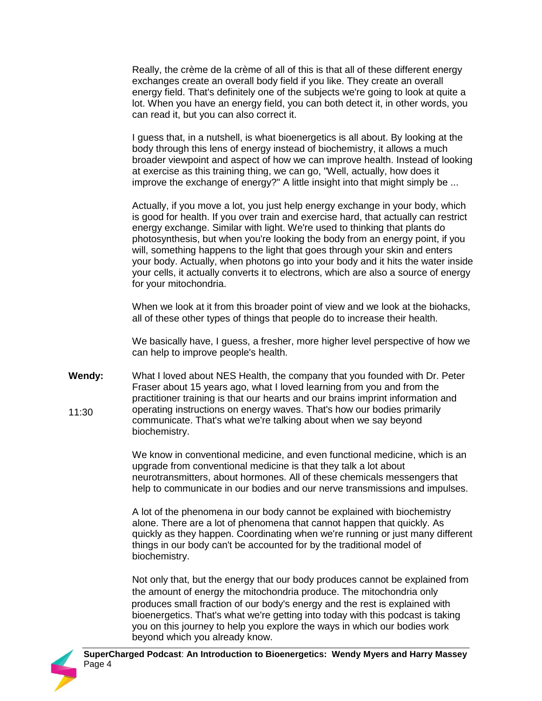Really, the crème de la crème of all of this is that all of these different energy exchanges create an overall body field if you like. They create an overall energy field. That's definitely one of the subjects we're going to look at quite a lot. When you have an energy field, you can both detect it, in other words, you can read it, but you can also correct it.

I guess that, in a nutshell, is what bioenergetics is all about. By looking at the body through this lens of energy instead of biochemistry, it allows a much broader viewpoint and aspect of how we can improve health. Instead of looking at exercise as this training thing, we can go, "Well, actually, how does it improve the exchange of energy?" A little insight into that might simply be ...

Actually, if you move a lot, you just help energy exchange in your body, which is good for health. If you over train and exercise hard, that actually can restrict energy exchange. Similar with light. We're used to thinking that plants do photosynthesis, but when you're looking the body from an energy point, if you will, something happens to the light that goes through your skin and enters your body. Actually, when photons go into your body and it hits the water inside your cells, it actually converts it to electrons, which are also a source of energy for your mitochondria.

When we look at it from this broader point of view and we look at the biohacks, all of these other types of things that people do to increase their health.

We basically have, I guess, a fresher, more higher level perspective of how we can help to improve people's health.

**Wendy:**  11:30 What I loved about NES Health, the company that you founded with Dr. Peter Fraser about 15 years ago, what I loved learning from you and from the practitioner training is that our hearts and our brains imprint information and operating instructions on energy waves. That's how our bodies primarily communicate. That's what we're talking about when we say beyond biochemistry.

> We know in conventional medicine, and even functional medicine, which is an upgrade from conventional medicine is that they talk a lot about neurotransmitters, about hormones. All of these chemicals messengers that help to communicate in our bodies and our nerve transmissions and impulses.

A lot of the phenomena in our body cannot be explained with biochemistry alone. There are a lot of phenomena that cannot happen that quickly. As quickly as they happen. Coordinating when we're running or just many different things in our body can't be accounted for by the traditional model of biochemistry.

Not only that, but the energy that our body produces cannot be explained from the amount of energy the mitochondria produce. The mitochondria only produces small fraction of our body's energy and the rest is explained with bioenergetics. That's what we're getting into today with this podcast is taking you on this journey to help you explore the ways in which our bodies work beyond which you already know.

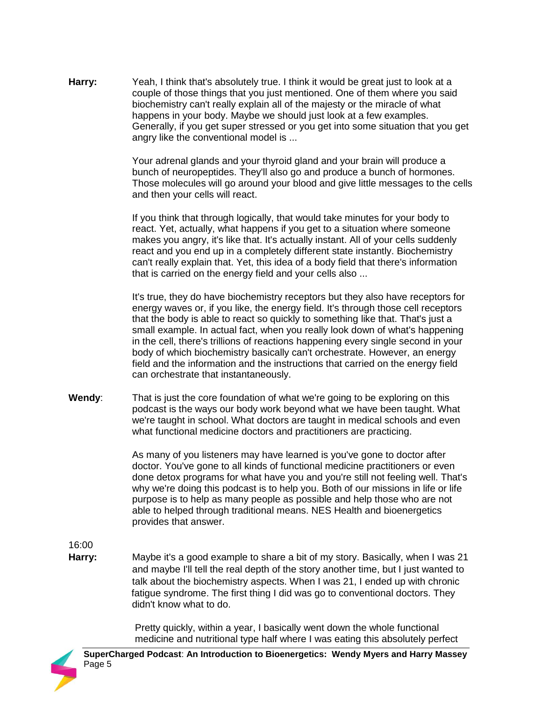Harry: Yeah, I think that's absolutely true. I think it would be great just to look at a couple of those things that you just mentioned. One of them where you said biochemistry can't really explain all of the majesty or the miracle of what happens in your body. Maybe we should just look at a few examples. Generally, if you get super stressed or you get into some situation that you get angry like the conventional model is ...

> Your adrenal glands and your thyroid gland and your brain will produce a bunch of neuropeptides. They'll also go and produce a bunch of hormones. Those molecules will go around your blood and give little messages to the cells and then your cells will react.

If you think that through logically, that would take minutes for your body to react. Yet, actually, what happens if you get to a situation where someone makes you angry, it's like that. It's actually instant. All of your cells suddenly react and you end up in a completely different state instantly. Biochemistry can't really explain that. Yet, this idea of a body field that there's information that is carried on the energy field and your cells also ...

It's true, they do have biochemistry receptors but they also have receptors for energy waves or, if you like, the energy field. It's through those cell receptors that the body is able to react so quickly to something like that. That's just a small example. In actual fact, when you really look down of what's happening in the cell, there's trillions of reactions happening every single second in your body of which biochemistry basically can't orchestrate. However, an energy field and the information and the instructions that carried on the energy field can orchestrate that instantaneously.

**Wendy**: That is just the core foundation of what we're going to be exploring on this podcast is the ways our body work beyond what we have been taught. What we're taught in school. What doctors are taught in medical schools and even what functional medicine doctors and practitioners are practicing.

> As many of you listeners may have learned is you've gone to doctor after doctor. You've gone to all kinds of functional medicine practitioners or even done detox programs for what have you and you're still not feeling well. That's why we're doing this podcast is to help you. Both of our missions in life or life purpose is to help as many people as possible and help those who are not able to helped through traditional means. NES Health and bioenergetics provides that answer.

16:00

**Harry:** Maybe it's a good example to share a bit of my story. Basically, when I was 21 and maybe I'll tell the real depth of the story another time, but I just wanted to talk about the biochemistry aspects. When I was 21, I ended up with chronic fatigue syndrome. The first thing I did was go to conventional doctors. They didn't know what to do.

> Pretty quickly, within a year, I basically went down the whole functional medicine and nutritional type half where I was eating this absolutely perfect

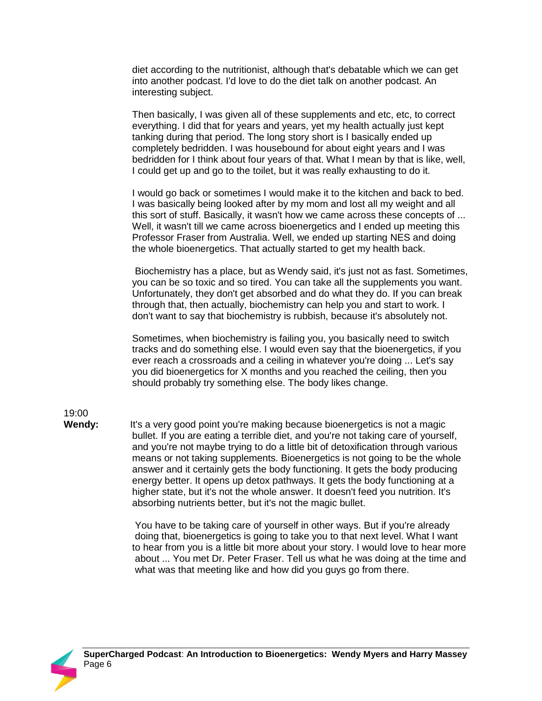diet according to the nutritionist, although that's debatable which we can get into another podcast. I'd love to do the diet talk on another podcast. An interesting subject.

Then basically, I was given all of these supplements and etc, etc, to correct everything. I did that for years and years, yet my health actually just kept tanking during that period. The long story short is I basically ended up completely bedridden. I was housebound for about eight years and I was bedridden for I think about four years of that. What I mean by that is like, well, I could get up and go to the toilet, but it was really exhausting to do it.

I would go back or sometimes I would make it to the kitchen and back to bed. I was basically being looked after by my mom and lost all my weight and all this sort of stuff. Basically, it wasn't how we came across these concepts of ... Well, it wasn't till we came across bioenergetics and I ended up meeting this Professor Fraser from Australia. Well, we ended up starting NES and doing the whole bioenergetics. That actually started to get my health back.

Biochemistry has a place, but as Wendy said, it's just not as fast. Sometimes, you can be so toxic and so tired. You can take all the supplements you want. Unfortunately, they don't get absorbed and do what they do. If you can break through that, then actually, biochemistry can help you and start to work. I don't want to say that biochemistry is rubbish, because it's absolutely not.

Sometimes, when biochemistry is failing you, you basically need to switch tracks and do something else. I would even say that the bioenergetics, if you ever reach a crossroads and a ceiling in whatever you're doing ... Let's say you did bioenergetics for X months and you reached the ceiling, then you should probably try something else. The body likes change.

19:00

**Wendy:** It's a very good point you're making because bioenergetics is not a magic bullet. If you are eating a terrible diet, and you're not taking care of yourself, and you're not maybe trying to do a little bit of detoxification through various means or not taking supplements. Bioenergetics is not going to be the whole answer and it certainly gets the body functioning. It gets the body producing energy better. It opens up detox pathways. It gets the body functioning at a higher state, but it's not the whole answer. It doesn't feed you nutrition. It's absorbing nutrients better, but it's not the magic bullet.

> You have to be taking care of yourself in other ways. But if you're already doing that, bioenergetics is going to take you to that next level. What I want to hear from you is a little bit more about your story. I would love to hear more about ... You met Dr. Peter Fraser. Tell us what he was doing at the time and what was that meeting like and how did you guys go from there.

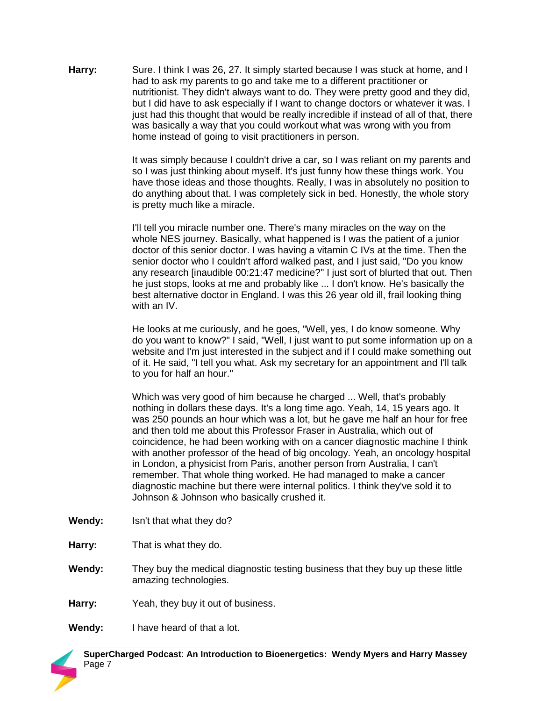**Harry:** Sure. I think I was 26, 27. It simply started because I was stuck at home, and I had to ask my parents to go and take me to a different practitioner or nutritionist. They didn't always want to do. They were pretty good and they did, but I did have to ask especially if I want to change doctors or whatever it was. I just had this thought that would be really incredible if instead of all of that, there was basically a way that you could workout what was wrong with you from home instead of going to visit practitioners in person.

> It was simply because I couldn't drive a car, so I was reliant on my parents and so I was just thinking about myself. It's just funny how these things work. You have those ideas and those thoughts. Really, I was in absolutely no position to do anything about that. I was completely sick in bed. Honestly, the whole story is pretty much like a miracle.

> I'll tell you miracle number one. There's many miracles on the way on the whole NES journey. Basically, what happened is I was the patient of a junior doctor of this senior doctor. I was having a vitamin C IVs at the time. Then the senior doctor who I couldn't afford walked past, and I just said, "Do you know any research [inaudible 00:21:47 medicine?" I just sort of blurted that out. Then he just stops, looks at me and probably like ... I don't know. He's basically the best alternative doctor in England. I was this 26 year old ill, frail looking thing with an IV.

> He looks at me curiously, and he goes, "Well, yes, I do know someone. Why do you want to know?" I said, "Well, I just want to put some information up on a website and I'm just interested in the subject and if I could make something out of it. He said, "I tell you what. Ask my secretary for an appointment and I'll talk to you for half an hour."

> Which was very good of him because he charged ... Well, that's probably nothing in dollars these days. It's a long time ago. Yeah, 14, 15 years ago. It was 250 pounds an hour which was a lot, but he gave me half an hour for free and then told me about this Professor Fraser in Australia, which out of coincidence, he had been working with on a cancer diagnostic machine I think with another professor of the head of big oncology. Yeah, an oncology hospital in London, a physicist from Paris, another person from Australia, I can't remember. That whole thing worked. He had managed to make a cancer diagnostic machine but there were internal politics. I think they've sold it to Johnson & Johnson who basically crushed it.

- **Wendy:** Isn't that what they do?
- **Harry:** That is what they do.
- **Wendy:** They buy the medical diagnostic testing business that they buy up these little amazing technologies.
- **Harry:** Yeah, they buy it out of business.

**Wendy:** I have heard of that a lot.

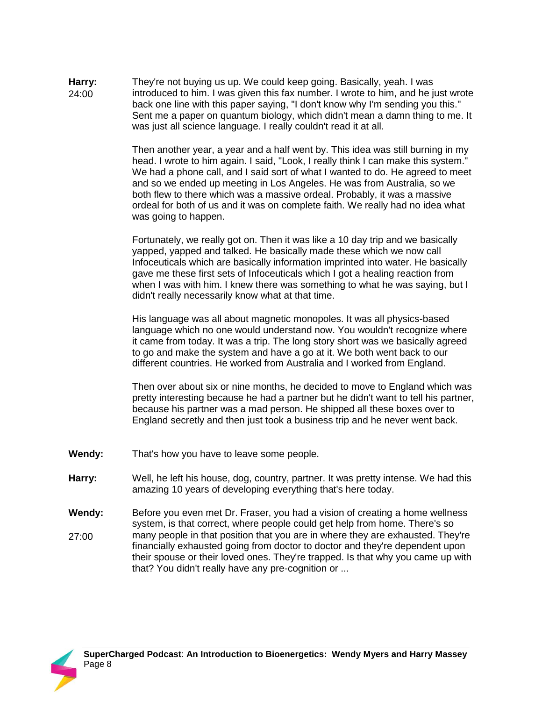**Harry:**  24:00 They're not buying us up. We could keep going. Basically, yeah. I was introduced to him. I was given this fax number. I wrote to him, and he just wrote back one line with this paper saying, "I don't know why I'm sending you this." Sent me a paper on quantum biology, which didn't mean a damn thing to me. It was just all science language. I really couldn't read it at all.

> Then another year, a year and a half went by. This idea was still burning in my head. I wrote to him again. I said, "Look, I really think I can make this system." We had a phone call, and I said sort of what I wanted to do. He agreed to meet and so we ended up meeting in Los Angeles. He was from Australia, so we both flew to there which was a massive ordeal. Probably, it was a massive ordeal for both of us and it was on complete faith. We really had no idea what was going to happen.

Fortunately, we really got on. Then it was like a 10 day trip and we basically yapped, yapped and talked. He basically made these which we now call Infoceuticals which are basically information imprinted into water. He basically gave me these first sets of Infoceuticals which I got a healing reaction from when I was with him. I knew there was something to what he was saying, but I didn't really necessarily know what at that time.

His language was all about magnetic monopoles. It was all physics-based language which no one would understand now. You wouldn't recognize where it came from today. It was a trip. The long story short was we basically agreed to go and make the system and have a go at it. We both went back to our different countries. He worked from Australia and I worked from England.

Then over about six or nine months, he decided to move to England which was pretty interesting because he had a partner but he didn't want to tell his partner, because his partner was a mad person. He shipped all these boxes over to England secretly and then just took a business trip and he never went back.

- **Wendy:** That's how you have to leave some people.
- **Harry:** Well, he left his house, dog, country, partner. It was pretty intense. We had this amazing 10 years of developing everything that's here today.
- **Wendy:**  27:00 Before you even met Dr. Fraser, you had a vision of creating a home wellness system, is that correct, where people could get help from home. There's so many people in that position that you are in where they are exhausted. They're financially exhausted going from doctor to doctor and they're dependent upon their spouse or their loved ones. They're trapped. Is that why you came up with that? You didn't really have any pre-cognition or ...

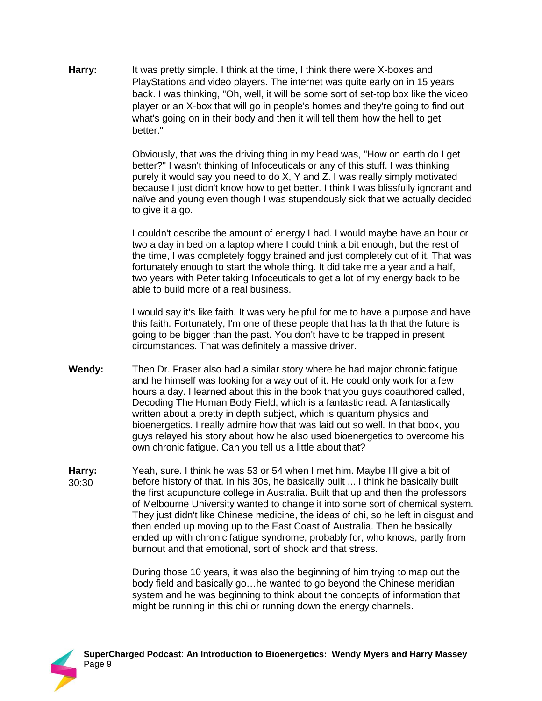**Harry:** It was pretty simple. I think at the time, I think there were X-boxes and PlayStations and video players. The internet was quite early on in 15 years back. I was thinking, "Oh, well, it will be some sort of set-top box like the video player or an X-box that will go in people's homes and they're going to find out what's going on in their body and then it will tell them how the hell to get better."

> Obviously, that was the driving thing in my head was, "How on earth do I get better?" I wasn't thinking of Infoceuticals or any of this stuff. I was thinking purely it would say you need to do X, Y and Z. I was really simply motivated because I just didn't know how to get better. I think I was blissfully ignorant and naïve and young even though I was stupendously sick that we actually decided to give it a go.

> I couldn't describe the amount of energy I had. I would maybe have an hour or two a day in bed on a laptop where I could think a bit enough, but the rest of the time, I was completely foggy brained and just completely out of it. That was fortunately enough to start the whole thing. It did take me a year and a half, two years with Peter taking Infoceuticals to get a lot of my energy back to be able to build more of a real business.

> I would say it's like faith. It was very helpful for me to have a purpose and have this faith. Fortunately, I'm one of these people that has faith that the future is going to be bigger than the past. You don't have to be trapped in present circumstances. That was definitely a massive driver.

- **Wendy:** Then Dr. Fraser also had a similar story where he had major chronic fatigue and he himself was looking for a way out of it. He could only work for a few hours a day. I learned about this in the book that you guys coauthored called, Decoding The Human Body Field, which is a fantastic read. A fantastically written about a pretty in depth subject, which is quantum physics and bioenergetics. I really admire how that was laid out so well. In that book, you guys relayed his story about how he also used bioenergetics to overcome his own chronic fatigue. Can you tell us a little about that?
- **Harry:**  30:30 Yeah, sure. I think he was 53 or 54 when I met him. Maybe I'll give a bit of before history of that. In his 30s, he basically built ... I think he basically built the first acupuncture college in Australia. Built that up and then the professors of Melbourne University wanted to change it into some sort of chemical system. They just didn't like Chinese medicine, the ideas of chi, so he left in disgust and then ended up moving up to the East Coast of Australia. Then he basically ended up with chronic fatigue syndrome, probably for, who knows, partly from burnout and that emotional, sort of shock and that stress.

During those 10 years, it was also the beginning of him trying to map out the body field and basically go…he wanted to go beyond the Chinese meridian system and he was beginning to think about the concepts of information that might be running in this chi or running down the energy channels.

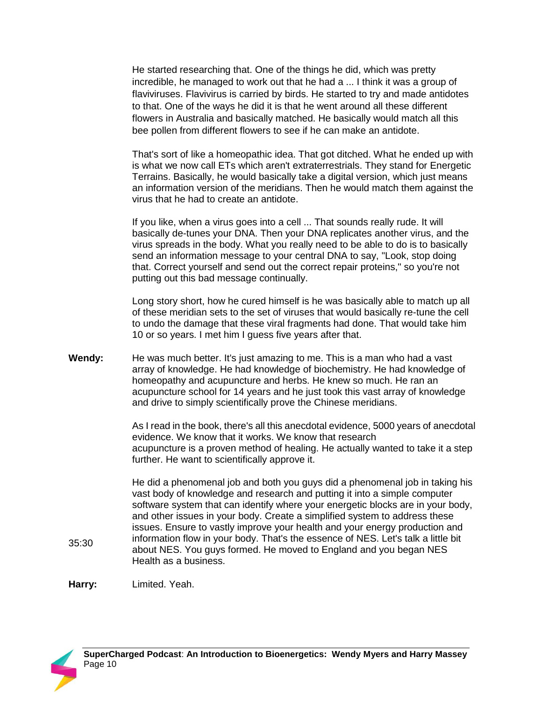He started researching that. One of the things he did, which was pretty incredible, he managed to work out that he had a ... I think it was a group of flaviviruses. Flavivirus is carried by birds. He started to try and made antidotes to that. One of the ways he did it is that he went around all these different flowers in Australia and basically matched. He basically would match all this bee pollen from different flowers to see if he can make an antidote.

That's sort of like a homeopathic idea. That got ditched. What he ended up with is what we now call ETs which aren't extraterrestrials. They stand for Energetic Terrains. Basically, he would basically take a digital version, which just means an information version of the meridians. Then he would match them against the virus that he had to create an antidote.

If you like, when a virus goes into a cell ... That sounds really rude. It will basically de-tunes your DNA. Then your DNA replicates another virus, and the virus spreads in the body. What you really need to be able to do is to basically send an information message to your central DNA to say, "Look, stop doing that. Correct yourself and send out the correct repair proteins," so you're not putting out this bad message continually.

Long story short, how he cured himself is he was basically able to match up all of these meridian sets to the set of viruses that would basically re-tune the cell to undo the damage that these viral fragments had done. That would take him 10 or so years. I met him I guess five years after that.

**Wendy:** He was much better. It's just amazing to me. This is a man who had a vast array of knowledge. He had knowledge of biochemistry. He had knowledge of homeopathy and acupuncture and herbs. He knew so much. He ran an acupuncture school for 14 years and he just took this vast array of knowledge and drive to simply scientifically prove the Chinese meridians.

> As I read in the book, there's all this anecdotal evidence, 5000 years of anecdotal evidence. We know that it works. We know that research acupuncture is a proven method of healing. He actually wanted to take it a step further. He want to scientifically approve it.

He did a phenomenal job and both you guys did a phenomenal job in taking his vast body of knowledge and research and putting it into a simple computer software system that can identify where your energetic blocks are in your body, and other issues in your body. Create a simplified system to address these issues. Ensure to vastly improve your health and your energy production and information flow in your body. That's the essence of NES. Let's talk a little bit about NES. You guys formed. He moved to England and you began NES Health as a business.

**Harry:** Limited. Yeah.



35:30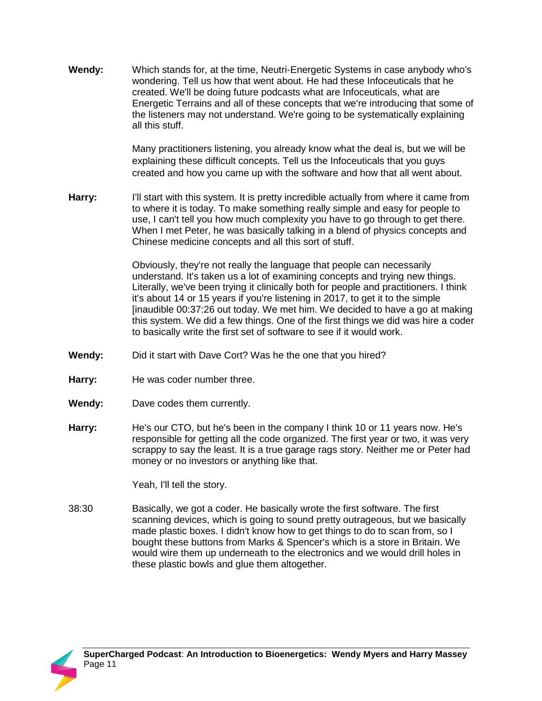**Wendy:** Which stands for, at the time, Neutri-Energetic Systems in case anybody who's wondering. Tell us how that went about. He had these Infoceuticals that he created. We'll be doing future podcasts what are Infoceuticals, what are Energetic Terrains and all of these concepts that we're introducing that some of the listeners may not understand. We're going to be systematically explaining all this stuff.

> Many practitioners listening, you already know what the deal is, but we will be explaining these difficult concepts. Tell us the Infoceuticals that you guys created and how you came up with the software and how that all went about.

**Harry:** I'll start with this system. It is pretty incredible actually from where it came from to where it is today. To make something really simple and easy for people to use, I can't tell you how much complexity you have to go through to get there. When I met Peter, he was basically talking in a blend of physics concepts and Chinese medicine concepts and all this sort of stuff.

> Obviously, they're not really the language that people can necessarily understand. It's taken us a lot of examining concepts and trying new things. Literally, we've been trying it clinically both for people and practitioners. I think it's about 14 or 15 years if you're listening in 2017, to get it to the simple [inaudible 00:37:26 out today. We met him. We decided to have a go at making this system. We did a few things. One of the first things we did was hire a coder to basically write the first set of software to see if it would work.

- **Wendy:** Did it start with Dave Cort? Was he the one that you hired?
- Harry: He was coder number three.
- **Wendy:** Dave codes them currently.
- **Harry:** He's our CTO, but he's been in the company I think 10 or 11 years now. He's responsible for getting all the code organized. The first year or two, it was very scrappy to say the least. It is a true garage rags story. Neither me or Peter had money or no investors or anything like that.

Yeah, I'll tell the story.

38:30 Basically, we got a coder. He basically wrote the first software. The first scanning devices, which is going to sound pretty outrageous, but we basically made plastic boxes. I didn't know how to get things to do to scan from, so I bought these buttons from Marks & Spencer's which is a store in Britain. We would wire them up underneath to the electronics and we would drill holes in these plastic bowls and glue them altogether.

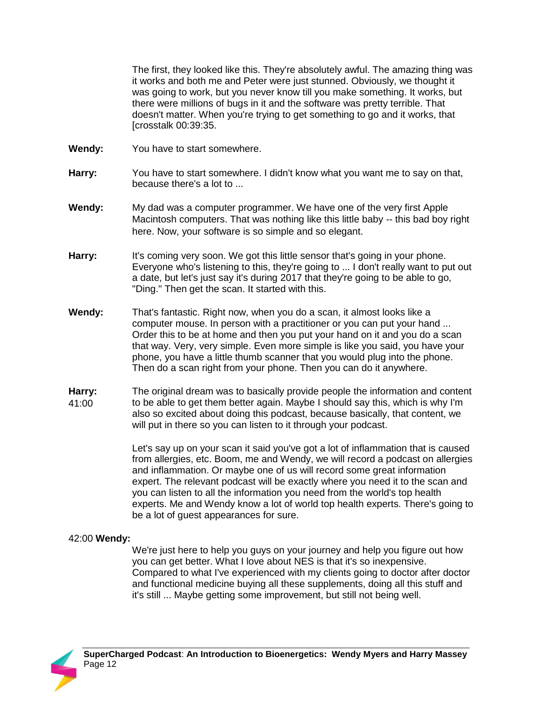The first, they looked like this. They're absolutely awful. The amazing thing was it works and both me and Peter were just stunned. Obviously, we thought it was going to work, but you never know till you make something. It works, but there were millions of bugs in it and the software was pretty terrible. That doesn't matter. When you're trying to get something to go and it works, that [crosstalk 00:39:35.

- **Wendy:** You have to start somewhere.
- **Harry:** You have to start somewhere. I didn't know what you want me to say on that, because there's a lot to ...
- **Wendy:** My dad was a computer programmer. We have one of the very first Apple Macintosh computers. That was nothing like this little baby -- this bad boy right here. Now, your software is so simple and so elegant.
- **Harry:** It's coming very soon. We got this little sensor that's going in your phone. Everyone who's listening to this, they're going to ... I don't really want to put out a date, but let's just say it's during 2017 that they're going to be able to go, "Ding." Then get the scan. It started with this.
- **Wendy:** That's fantastic. Right now, when you do a scan, it almost looks like a computer mouse. In person with a practitioner or you can put your hand ... Order this to be at home and then you put your hand on it and you do a scan that way. Very, very simple. Even more simple is like you said, you have your phone, you have a little thumb scanner that you would plug into the phone. Then do a scan right from your phone. Then you can do it anywhere.
- **Harry:**  41:00 The original dream was to basically provide people the information and content to be able to get them better again. Maybe I should say this, which is why I'm also so excited about doing this podcast, because basically, that content, we will put in there so you can listen to it through your podcast.

Let's say up on your scan it said you've got a lot of inflammation that is caused from allergies, etc. Boom, me and Wendy, we will record a podcast on allergies and inflammation. Or maybe one of us will record some great information expert. The relevant podcast will be exactly where you need it to the scan and you can listen to all the information you need from the world's top health experts. Me and Wendy know a lot of world top health experts. There's going to be a lot of guest appearances for sure.

## 42:00 **Wendy:**

We're just here to help you guys on your journey and help you figure out how you can get better. What I love about NES is that it's so inexpensive. Compared to what I've experienced with my clients going to doctor after doctor and functional medicine buying all these supplements, doing all this stuff and it's still ... Maybe getting some improvement, but still not being well.

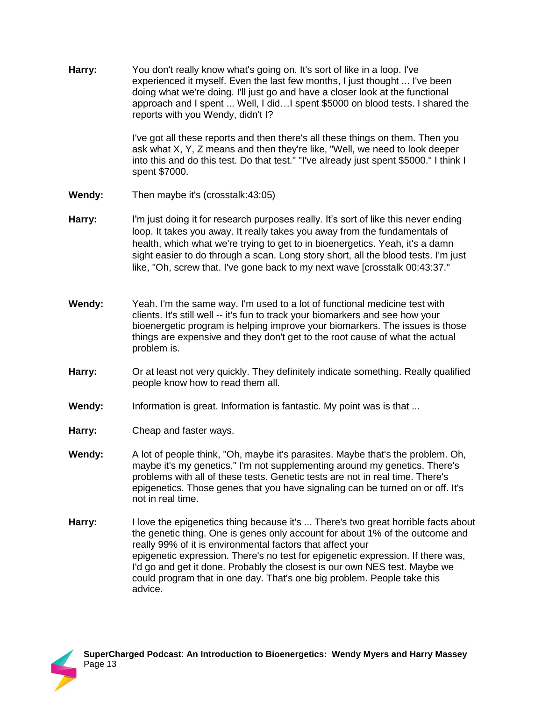**Harry:** You don't really know what's going on. It's sort of like in a loop. I've experienced it myself. Even the last few months, I just thought ... I've been doing what we're doing. I'll just go and have a closer look at the functional approach and I spent ... Well, I did…I spent \$5000 on blood tests. I shared the reports with you Wendy, didn't I?

> I've got all these reports and then there's all these things on them. Then you ask what X, Y, Z means and then they're like, "Well, we need to look deeper into this and do this test. Do that test." "I've already just spent \$5000." I think I spent \$7000.

- **Wendy:** Then maybe it's (crosstalk:43:05)
- Harry: I'm just doing it for research purposes really. It's sort of like this never ending loop. It takes you away. It really takes you away from the fundamentals of health, which what we're trying to get to in bioenergetics. Yeah, it's a damn sight easier to do through a scan. Long story short, all the blood tests. I'm just like, "Oh, screw that. I've gone back to my next wave [crosstalk 00:43:37."
- **Wendy:** Yeah. I'm the same way. I'm used to a lot of functional medicine test with clients. It's still well -- it's fun to track your biomarkers and see how your bioenergetic program is helping improve your biomarkers. The issues is those things are expensive and they don't get to the root cause of what the actual problem is.
- **Harry:** Or at least not very quickly. They definitely indicate something. Really qualified people know how to read them all.
- **Wendy:** Information is great. Information is fantastic. My point was is that ...
- **Harry:** Cheap and faster ways.
- **Wendy:** A lot of people think, "Oh, maybe it's parasites. Maybe that's the problem. Oh, maybe it's my genetics." I'm not supplementing around my genetics. There's problems with all of these tests. Genetic tests are not in real time. There's epigenetics. Those genes that you have signaling can be turned on or off. It's not in real time.
- **Harry:** I love the epigenetics thing because it's ... There's two great horrible facts about the genetic thing. One is genes only account for about 1% of the outcome and really 99% of it is environmental factors that affect your epigenetic expression. There's no test for epigenetic expression. If there was, I'd go and get it done. Probably the closest is our own NES test. Maybe we could program that in one day. That's one big problem. People take this advice.

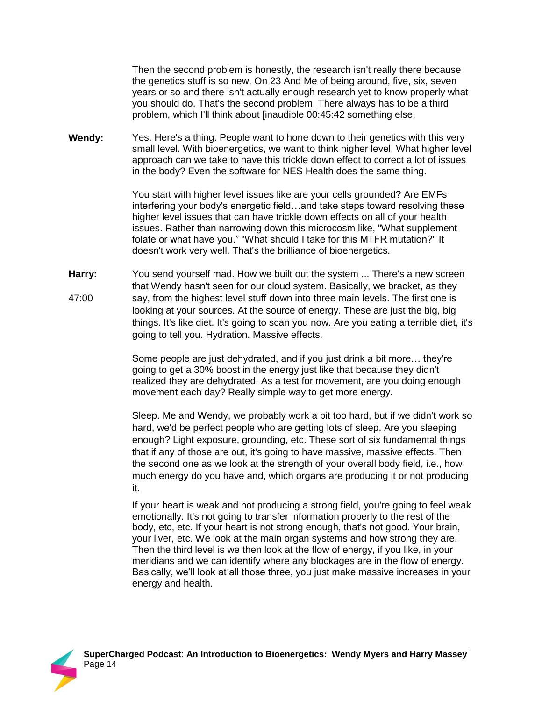Then the second problem is honestly, the research isn't really there because the genetics stuff is so new. On 23 And Me of being around, five, six, seven years or so and there isn't actually enough research yet to know properly what you should do. That's the second problem. There always has to be a third problem, which I'll think about [inaudible 00:45:42 something else.

**Wendy:** Yes. Here's a thing. People want to hone down to their genetics with this very small level. With bioenergetics, we want to think higher level. What higher level approach can we take to have this trickle down effect to correct a lot of issues in the body? Even the software for NES Health does the same thing.

> You start with higher level issues like are your cells grounded? Are EMFs interfering your body's energetic field…and take steps toward resolving these higher level issues that can have trickle down effects on all of your health issues. Rather than narrowing down this microcosm like, "What supplement folate or what have you." "What should I take for this MTFR mutation?" It doesn't work very well. That's the brilliance of bioenergetics.

**Harry:**  47:00 You send yourself mad. How we built out the system ... There's a new screen that Wendy hasn't seen for our cloud system. Basically, we bracket, as they say, from the highest level stuff down into three main levels. The first one is looking at your sources. At the source of energy. These are just the big, big things. It's like diet. It's going to scan you now. Are you eating a terrible diet, it's going to tell you. Hydration. Massive effects.

> Some people are just dehydrated, and if you just drink a bit more… they're going to get a 30% boost in the energy just like that because they didn't realized they are dehydrated. As a test for movement, are you doing enough movement each day? Really simple way to get more energy.

Sleep. Me and Wendy, we probably work a bit too hard, but if we didn't work so hard, we'd be perfect people who are getting lots of sleep. Are you sleeping enough? Light exposure, grounding, etc. These sort of six fundamental things that if any of those are out, it's going to have massive, massive effects. Then the second one as we look at the strength of your overall body field, i.e., how much energy do you have and, which organs are producing it or not producing it.

If your heart is weak and not producing a strong field, you're going to feel weak emotionally. It's not going to transfer information properly to the rest of the body, etc, etc. If your heart is not strong enough, that's not good. Your brain, your liver, etc. We look at the main organ systems and how strong they are. Then the third level is we then look at the flow of energy, if you like, in your meridians and we can identify where any blockages are in the flow of energy. Basically, we'll look at all those three, you just make massive increases in your energy and health.

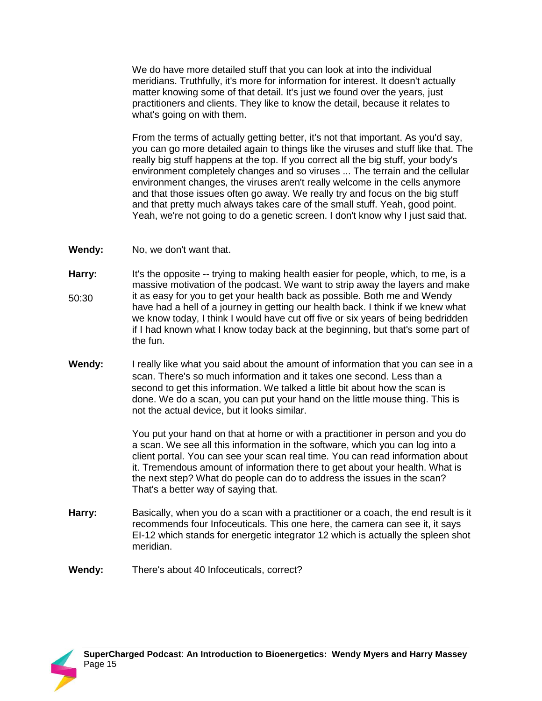We do have more detailed stuff that you can look at into the individual meridians. Truthfully, it's more for information for interest. It doesn't actually matter knowing some of that detail. It's just we found over the years, just practitioners and clients. They like to know the detail, because it relates to what's going on with them.

From the terms of actually getting better, it's not that important. As you'd say, you can go more detailed again to things like the viruses and stuff like that. The really big stuff happens at the top. If you correct all the big stuff, your body's environment completely changes and so viruses ... The terrain and the cellular environment changes, the viruses aren't really welcome in the cells anymore and that those issues often go away. We really try and focus on the big stuff and that pretty much always takes care of the small stuff. Yeah, good point. Yeah, we're not going to do a genetic screen. I don't know why I just said that.

- **Wendy:** No, we don't want that.
- **Harry:**  50:30 It's the opposite -- trying to making health easier for people, which, to me, is a massive motivation of the podcast. We want to strip away the layers and make it as easy for you to get your health back as possible. Both me and Wendy have had a hell of a journey in getting our health back. I think if we knew what we know today, I think I would have cut off five or six years of being bedridden if I had known what I know today back at the beginning, but that's some part of the fun.
- **Wendy:** I really like what you said about the amount of information that you can see in a scan. There's so much information and it takes one second. Less than a second to get this information. We talked a little bit about how the scan is done. We do a scan, you can put your hand on the little mouse thing. This is not the actual device, but it looks similar.

You put your hand on that at home or with a practitioner in person and you do a scan. We see all this information in the software, which you can log into a client portal. You can see your scan real time. You can read information about it. Tremendous amount of information there to get about your health. What is the next step? What do people can do to address the issues in the scan? That's a better way of saying that.

- **Harry:** Basically, when you do a scan with a practitioner or a coach, the end result is it recommends four Infoceuticals. This one here, the camera can see it, it says EI-12 which stands for energetic integrator 12 which is actually the spleen shot meridian.
- **Wendy:** There's about 40 Infoceuticals, correct?

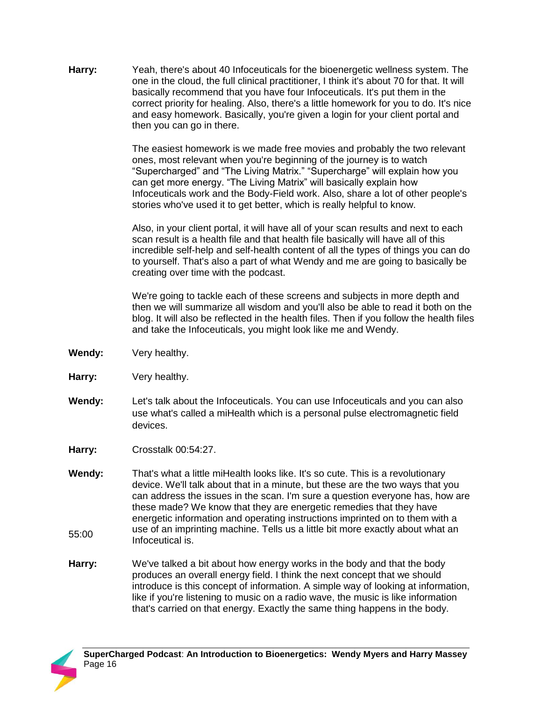**Harry:** Yeah, there's about 40 Infoceuticals for the bioenergetic wellness system. The one in the cloud, the full clinical practitioner, I think it's about 70 for that. It will basically recommend that you have four Infoceuticals. It's put them in the correct priority for healing. Also, there's a little homework for you to do. It's nice and easy homework. Basically, you're given a login for your client portal and then you can go in there.

> The easiest homework is we made free movies and probably the two relevant ones, most relevant when you're beginning of the journey is to watch "Supercharged" and "The Living Matrix." "Supercharge" will explain how you can get more energy. "The Living Matrix" will basically explain how Infoceuticals work and the Body-Field work. Also, share a lot of other people's stories who've used it to get better, which is really helpful to know.

> Also, in your client portal, it will have all of your scan results and next to each scan result is a health file and that health file basically will have all of this incredible self-help and self-health content of all the types of things you can do to yourself. That's also a part of what Wendy and me are going to basically be creating over time with the podcast.

We're going to tackle each of these screens and subjects in more depth and then we will summarize all wisdom and you'll also be able to read it both on the blog. It will also be reflected in the health files. Then if you follow the health files and take the Infoceuticals, you might look like me and Wendy.

- **Wendy:** Very healthy.
- **Harry:** Very healthy.
- **Wendy:** Let's talk about the Infoceuticals. You can use Infoceuticals and you can also use what's called a miHealth which is a personal pulse electromagnetic field devices.
- **Harry:** Crosstalk 00:54:27.
- **Wendy:**  55:00 That's what a little miHealth looks like. It's so cute. This is a revolutionary device. We'll talk about that in a minute, but these are the two ways that you can address the issues in the scan. I'm sure a question everyone has, how are these made? We know that they are energetic remedies that they have energetic information and operating instructions imprinted on to them with a use of an imprinting machine. Tells us a little bit more exactly about what an Infoceutical is.
- **Harry:** We've talked a bit about how energy works in the body and that the body produces an overall energy field. I think the next concept that we should introduce is this concept of information. A simple way of looking at information, like if you're listening to music on a radio wave, the music is like information that's carried on that energy. Exactly the same thing happens in the body.

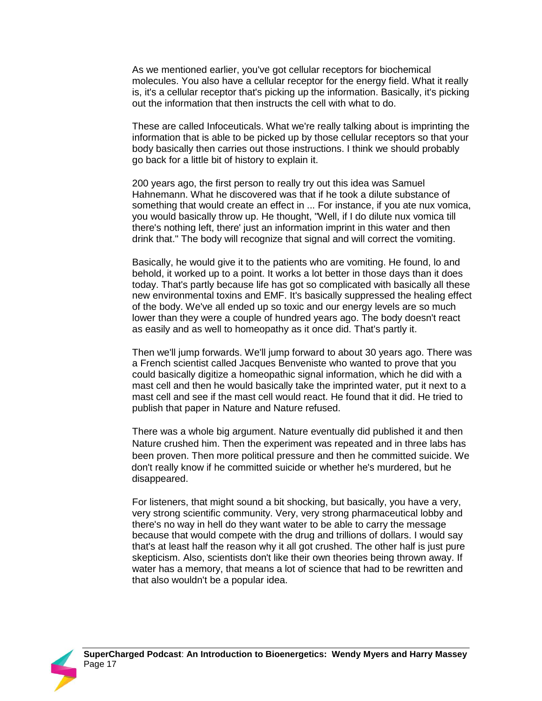As we mentioned earlier, you've got cellular receptors for biochemical molecules. You also have a cellular receptor for the energy field. What it really is, it's a cellular receptor that's picking up the information. Basically, it's picking out the information that then instructs the cell with what to do.

These are called Infoceuticals. What we're really talking about is imprinting the information that is able to be picked up by those cellular receptors so that your body basically then carries out those instructions. I think we should probably go back for a little bit of history to explain it.

200 years ago, the first person to really try out this idea was Samuel Hahnemann. What he discovered was that if he took a dilute substance of something that would create an effect in ... For instance, if you ate nux vomica, you would basically throw up. He thought, "Well, if I do dilute nux vomica till there's nothing left, there' just an information imprint in this water and then drink that." The body will recognize that signal and will correct the vomiting.

Basically, he would give it to the patients who are vomiting. He found, lo and behold, it worked up to a point. It works a lot better in those days than it does today. That's partly because life has got so complicated with basically all these new environmental toxins and EMF. It's basically suppressed the healing effect of the body. We've all ended up so toxic and our energy levels are so much lower than they were a couple of hundred years ago. The body doesn't react as easily and as well to homeopathy as it once did. That's partly it.

Then we'll jump forwards. We'll jump forward to about 30 years ago. There was a French scientist called Jacques Benveniste who wanted to prove that you could basically digitize a homeopathic signal information, which he did with a mast cell and then he would basically take the imprinted water, put it next to a mast cell and see if the mast cell would react. He found that it did. He tried to publish that paper in Nature and Nature refused.

There was a whole big argument. Nature eventually did published it and then Nature crushed him. Then the experiment was repeated and in three labs has been proven. Then more political pressure and then he committed suicide. We don't really know if he committed suicide or whether he's murdered, but he disappeared.

For listeners, that might sound a bit shocking, but basically, you have a very, very strong scientific community. Very, very strong pharmaceutical lobby and there's no way in hell do they want water to be able to carry the message because that would compete with the drug and trillions of dollars. I would say that's at least half the reason why it all got crushed. The other half is just pure skepticism. Also, scientists don't like their own theories being thrown away. If water has a memory, that means a lot of science that had to be rewritten and that also wouldn't be a popular idea.

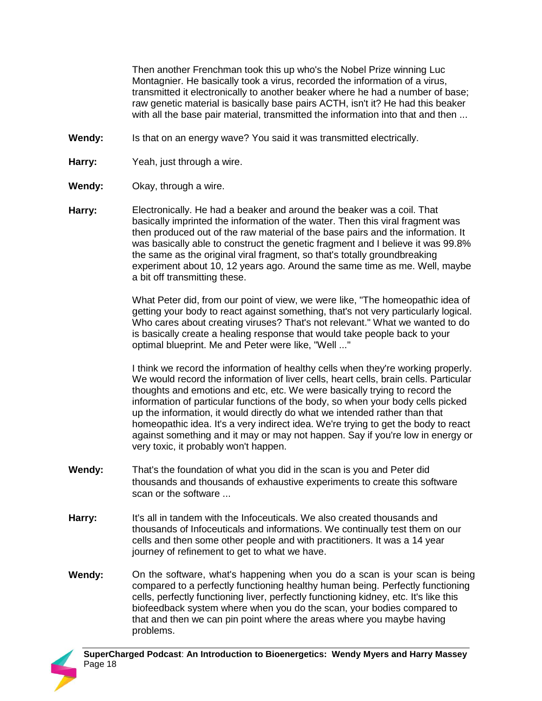Then another Frenchman took this up who's the Nobel Prize winning Luc Montagnier. He basically took a virus, recorded the information of a virus, transmitted it electronically to another beaker where he had a number of base; raw genetic material is basically base pairs ACTH, isn't it? He had this beaker with all the base pair material, transmitted the information into that and then ...

- **Wendy:** Is that on an energy wave? You said it was transmitted electrically.
- **Harry:** Yeah, just through a wire.
- **Wendy:** Okay, through a wire.
- **Harry:** Electronically. He had a beaker and around the beaker was a coil. That basically imprinted the information of the water. Then this viral fragment was then produced out of the raw material of the base pairs and the information. It was basically able to construct the genetic fragment and I believe it was 99.8% the same as the original viral fragment, so that's totally groundbreaking experiment about 10, 12 years ago. Around the same time as me. Well, maybe a bit off transmitting these.

What Peter did, from our point of view, we were like, "The homeopathic idea of getting your body to react against something, that's not very particularly logical. Who cares about creating viruses? That's not relevant." What we wanted to do is basically create a healing response that would take people back to your optimal blueprint. Me and Peter were like, "Well ..."

I think we record the information of healthy cells when they're working properly. We would record the information of liver cells, heart cells, brain cells. Particular thoughts and emotions and etc, etc. We were basically trying to record the information of particular functions of the body, so when your body cells picked up the information, it would directly do what we intended rather than that homeopathic idea. It's a very indirect idea. We're trying to get the body to react against something and it may or may not happen. Say if you're low in energy or very toxic, it probably won't happen.

- **Wendy:** That's the foundation of what you did in the scan is you and Peter did thousands and thousands of exhaustive experiments to create this software scan or the software ...
- **Harry:** It's all in tandem with the Infoceuticals. We also created thousands and thousands of Infoceuticals and informations. We continually test them on our cells and then some other people and with practitioners. It was a 14 year journey of refinement to get to what we have.
- **Wendy:** On the software, what's happening when you do a scan is your scan is being compared to a perfectly functioning healthy human being. Perfectly functioning cells, perfectly functioning liver, perfectly functioning kidney, etc. It's like this biofeedback system where when you do the scan, your bodies compared to that and then we can pin point where the areas where you maybe having problems.

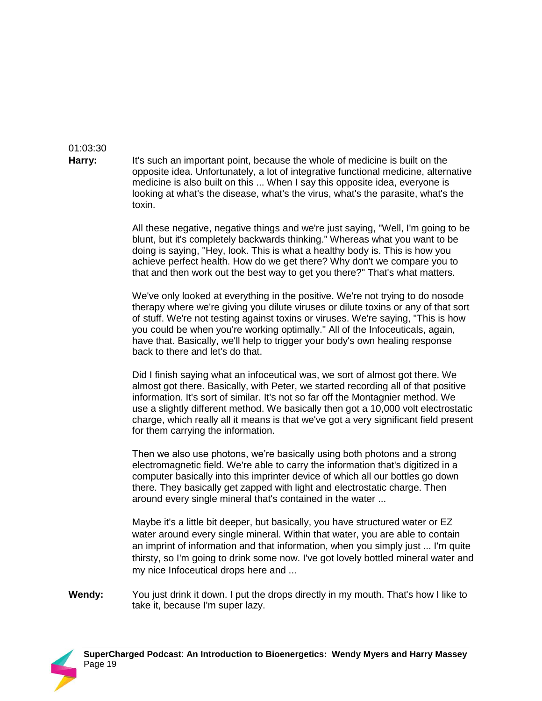## 01:03:30

**Harry:** It's such an important point, because the whole of medicine is built on the opposite idea. Unfortunately, a lot of integrative functional medicine, alternative medicine is also built on this ... When I say this opposite idea, everyone is looking at what's the disease, what's the virus, what's the parasite, what's the toxin.

> All these negative, negative things and we're just saying, "Well, I'm going to be blunt, but it's completely backwards thinking." Whereas what you want to be doing is saying, "Hey, look. This is what a healthy body is. This is how you achieve perfect health. How do we get there? Why don't we compare you to that and then work out the best way to get you there?" That's what matters.

> We've only looked at everything in the positive. We're not trying to do nosode therapy where we're giving you dilute viruses or dilute toxins or any of that sort of stuff. We're not testing against toxins or viruses. We're saying, "This is how you could be when you're working optimally." All of the Infoceuticals, again, have that. Basically, we'll help to trigger your body's own healing response back to there and let's do that.

Did I finish saying what an infoceutical was, we sort of almost got there. We almost got there. Basically, with Peter, we started recording all of that positive information. It's sort of similar. It's not so far off the Montagnier method. We use a slightly different method. We basically then got a 10,000 volt electrostatic charge, which really all it means is that we've got a very significant field present for them carrying the information.

Then we also use photons, we're basically using both photons and a strong electromagnetic field. We're able to carry the information that's digitized in a computer basically into this imprinter device of which all our bottles go down there. They basically get zapped with light and electrostatic charge. Then around every single mineral that's contained in the water ...

Maybe it's a little bit deeper, but basically, you have structured water or EZ water around every single mineral. Within that water, you are able to contain an imprint of information and that information, when you simply just ... I'm quite thirsty, so I'm going to drink some now. I've got lovely bottled mineral water and my nice Infoceutical drops here and ...

**Wendy:** You just drink it down. I put the drops directly in my mouth. That's how I like to take it, because I'm super lazy.